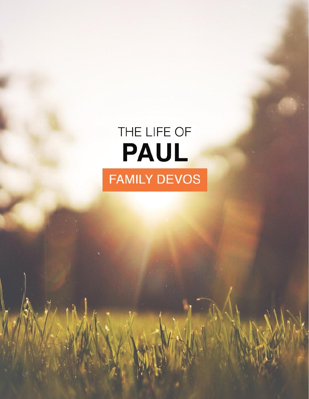# THE LIFE OF PAUL **FAMILY DEVOS**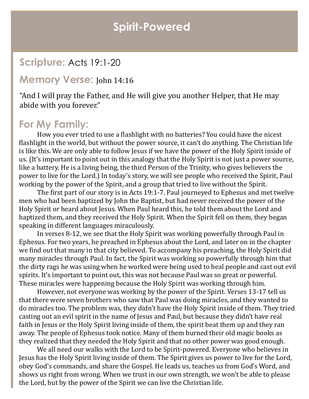## **Spirit-Powered**

## **Scripture:** Acts 19:1-20

#### **Memory Verse:** John 14:16

"And I will pray the Father, and He will give you another Helper, that He may abide with you forever."

### **For My Family:**

How you ever tried to use a flashlight with no batteries? You could have the nicest flashlight in the world, but without the power source, it can't do anything. The Christian life is like this. We are only able to follow Jesus if we have the power of the Holy Spirit inside of us. (It's important to point out in this analogy that the Holy Spirit is not just a power source, like a battery. He is a living being, the third Person of the Trinity, who gives believers the power to live for the Lord.) In today's story, we will see people who received the Spirit, Paul working by the power of the Spirit, and a group that tried to live without the Spirit.

The first part of our story is in Acts 19:1-7. Paul journeyed to Ephesus and met twelve men who had been baptized by John the Baptist, but had never received the power of the Holy Spirit or heard about Jesus. When Paul heard this, he told them about the Lord and baptized them, and they received the Holy Spirit. When the Spirit fell on them, they began speaking in different languages miraculously.

In verses 8-12, we see that the Holy Spirit was working powerfully through Paul in Ephesus. For two years, he preached in Ephesus about the Lord, and later on in the chapter we find out that many in that city believed. To accompany his preaching, the Holy Spirit did many miracles through Paul. In fact, the Spirit was working so powerfully through him that the dirty rags he was using when he worked were being used to heal people and cast out evil spirits. It's important to point out, this was not because Paul was so great or powerful. These miracles were happening because the Holy Spirit was working through him.

However, not everyone was working by the power of the Spirit. Verses 13-17 tell us that there were seven brothers who saw that Paul was doing miracles, and they wanted to do miracles too. The problem was, they didn't have the Holy Spirit inside of them. They tried casting out an evil spirit in the name of Jesus and Paul, but because they didn't have real faith in Jesus or the Holy Spirit living inside of them, the spirit beat them up and they ran away. The people of Ephesus took notice. Many of them burned their old magic books as they realized that they needed the Holy Spirit and that no other power was good enough.

We all need our walks with the Lord to be Spirit-powered. Everyone who believes in Jesus has the Holy Spirit living inside of them. The Spirit gives us power to live for the Lord, obey God's commands, and share the Gospel. He leads us, teaches us from God's Word, and shows us right from wrong. When we trust in our own strength, we won't be able to please the Lord, but by the power of the Spirit we can live the Christian life.